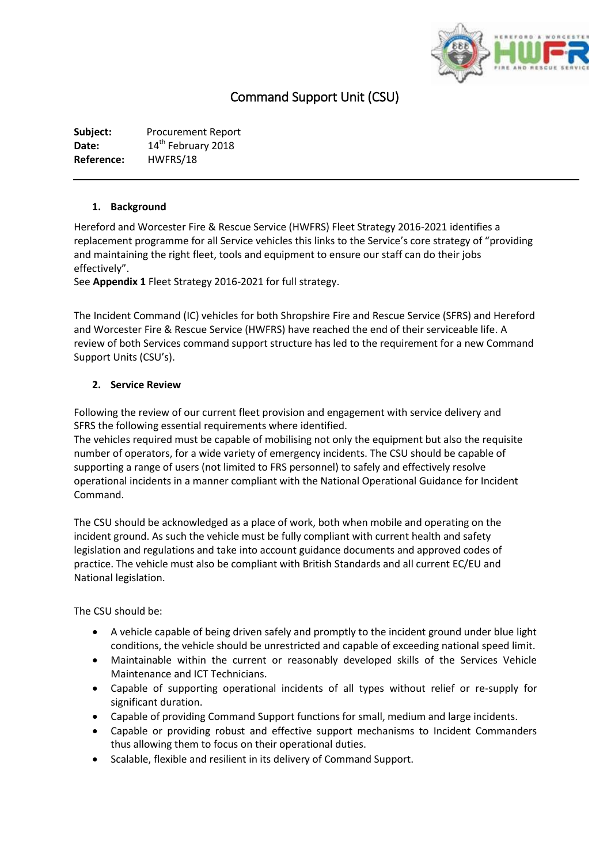

# Command Support Unit (CSU)

**Subject:** Procurement Report Date: 14<sup>th</sup> February 2018 **Reference:** HWFRS/18

#### **1. Background**

Hereford and Worcester Fire & Rescue Service (HWFRS) Fleet Strategy 2016-2021 identifies a replacement programme for all Service vehicles this links to the Service's core strategy of "providing and maintaining the right fleet, tools and equipment to ensure our staff can do their jobs effectively".

See **Appendix 1** Fleet Strategy 2016-2021 for full strategy.

The Incident Command (IC) vehicles for both Shropshire Fire and Rescue Service (SFRS) and Hereford and Worcester Fire & Rescue Service (HWFRS) have reached the end of their serviceable life. A review of both Services command support structure has led to the requirement for a new Command Support Units (CSU's).

# **2. Service Review**

Following the review of our current fleet provision and engagement with service delivery and SFRS the following essential requirements where identified.

The vehicles required must be capable of mobilising not only the equipment but also the requisite number of operators, for a wide variety of emergency incidents. The CSU should be capable of supporting a range of users (not limited to FRS personnel) to safely and effectively resolve operational incidents in a manner compliant with the National Operational Guidance for Incident Command.

The CSU should be acknowledged as a place of work, both when mobile and operating on the incident ground. As such the vehicle must be fully compliant with current health and safety legislation and regulations and take into account guidance documents and approved codes of practice. The vehicle must also be compliant with British Standards and all current EC/EU and National legislation.

The CSU should be:

- A vehicle capable of being driven safely and promptly to the incident ground under blue light conditions, the vehicle should be unrestricted and capable of exceeding national speed limit.
- Maintainable within the current or reasonably developed skills of the Services Vehicle Maintenance and ICT Technicians.
- Capable of supporting operational incidents of all types without relief or re-supply for significant duration.
- Capable of providing Command Support functions for small, medium and large incidents.
- Capable or providing robust and effective support mechanisms to Incident Commanders thus allowing them to focus on their operational duties.
- Scalable, flexible and resilient in its delivery of Command Support.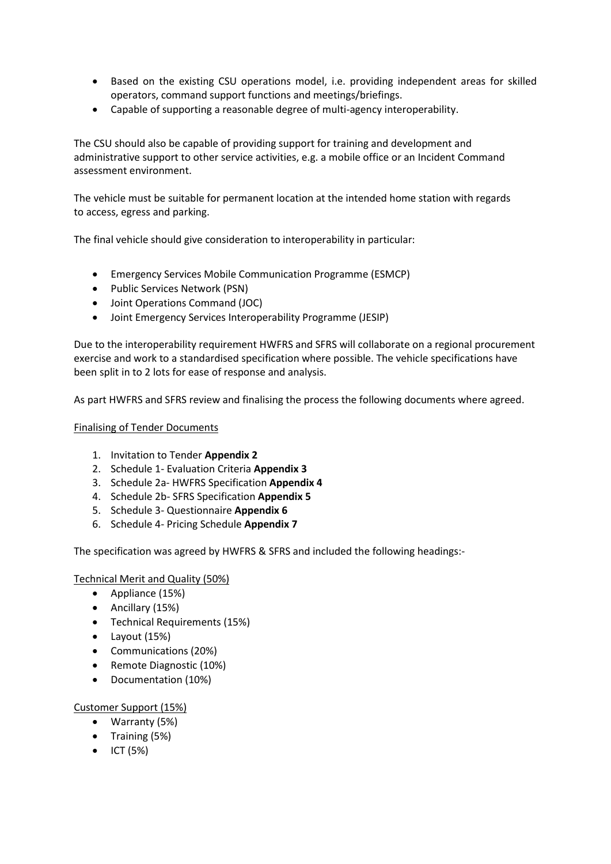- Based on the existing CSU operations model, i.e. providing independent areas for skilled operators, command support functions and meetings/briefings.
- Capable of supporting a reasonable degree of multi-agency interoperability.

The CSU should also be capable of providing support for training and development and administrative support to other service activities, e.g. a mobile office or an Incident Command assessment environment.

The vehicle must be suitable for permanent location at the intended home station with regards to access, egress and parking.

The final vehicle should give consideration to interoperability in particular:

- Emergency Services Mobile Communication Programme (ESMCP)
- Public Services Network (PSN)
- Joint Operations Command (JOC)
- Joint Emergency Services Interoperability Programme (JESIP)

Due to the interoperability requirement HWFRS and SFRS will collaborate on a regional procurement exercise and work to a standardised specification where possible. The vehicle specifications have been split in to 2 lots for ease of response and analysis.

As part HWFRS and SFRS review and finalising the process the following documents where agreed.

#### Finalising of Tender Documents

- 1. Invitation to Tender **Appendix 2**
- 2. Schedule 1- Evaluation Criteria **Appendix 3**
- 3. Schedule 2a- HWFRS Specification **Appendix 4**
- 4. Schedule 2b- SFRS Specification **Appendix 5**
- 5. Schedule 3- Questionnaire **Appendix 6**
- 6. Schedule 4- Pricing Schedule **Appendix 7**

The specification was agreed by HWFRS & SFRS and included the following headings:-

#### Technical Merit and Quality (50%)

- Appliance (15%)
- Ancillary (15%)
- Technical Requirements (15%)
- Layout (15%)
- Communications (20%)
- Remote Diagnostic (10%)
- Documentation (10%)

# Customer Support (15%)

- Warranty (5%)
- Training (5%)
- $\bullet$  ICT (5%)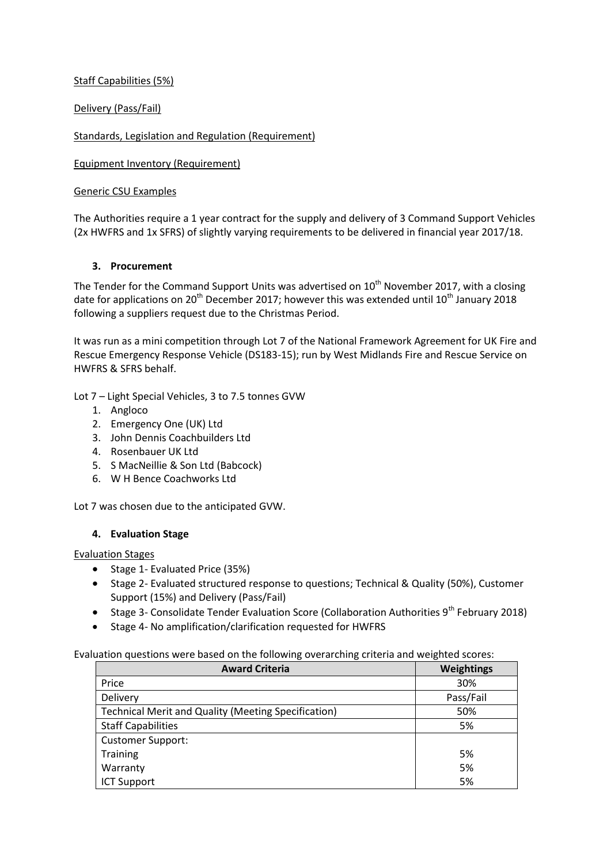Staff Capabilities (5%)

Delivery (Pass/Fail)

Standards, Legislation and Regulation (Requirement)

Equipment Inventory (Requirement)

#### Generic CSU Examples

The Authorities require a 1 year contract for the supply and delivery of 3 Command Support Vehicles (2x HWFRS and 1x SFRS) of slightly varying requirements to be delivered in financial year 2017/18.

#### **3. Procurement**

The Tender for the Command Support Units was advertised on 10<sup>th</sup> November 2017, with a closing date for applications on 20<sup>th</sup> December 2017; however this was extended until 10<sup>th</sup> January 2018 following a suppliers request due to the Christmas Period.

It was run as a mini competition through Lot 7 of the National Framework Agreement for UK Fire and Rescue Emergency Response Vehicle (DS183-15); run by West Midlands Fire and Rescue Service on HWFRS & SFRS behalf.

Lot 7 – Light Special Vehicles, 3 to 7.5 tonnes GVW

- 1. Angloco
- 2. Emergency One (UK) Ltd
- 3. John Dennis Coachbuilders Ltd
- 4. Rosenbauer UK Ltd
- 5. S MacNeillie & Son Ltd (Babcock)
- 6. W H Bence Coachworks Ltd

Lot 7 was chosen due to the anticipated GVW.

# **4. Evaluation Stage**

Evaluation Stages

- Stage 1- Evaluated Price (35%)
- Stage 2- Evaluated structured response to questions; Technical & Quality (50%), Customer Support (15%) and Delivery (Pass/Fail)
- Stage 3- Consolidate Tender Evaluation Score (Collaboration Authorities  $9^{th}$  February 2018)
- Stage 4- No amplification/clarification requested for HWFRS

Evaluation questions were based on the following overarching criteria and weighted scores:

| <b>Award Criteria</b>                                      | <b>Weightings</b> |
|------------------------------------------------------------|-------------------|
| Price                                                      | 30%               |
| Delivery                                                   | Pass/Fail         |
| <b>Technical Merit and Quality (Meeting Specification)</b> | 50%               |
| <b>Staff Capabilities</b>                                  | 5%                |
| <b>Customer Support:</b>                                   |                   |
| Training                                                   | 5%                |
| Warranty                                                   | 5%                |
| <b>ICT Support</b>                                         | 5%                |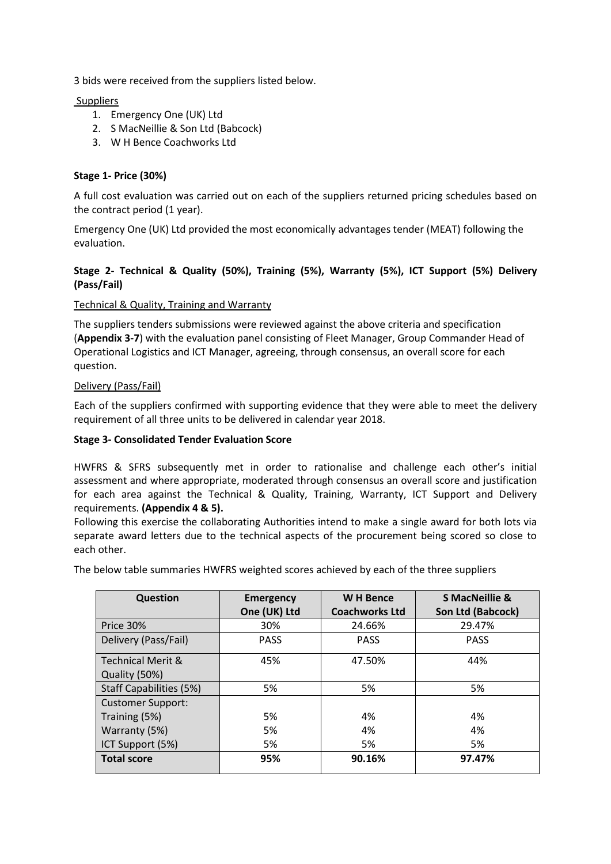3 bids were received from the suppliers listed below.

**Suppliers** 

- 1. Emergency One (UK) Ltd
- 2. S MacNeillie & Son Ltd (Babcock)
- 3. W H Bence Coachworks Ltd

#### **Stage 1- Price (30%)**

A full cost evaluation was carried out on each of the suppliers returned pricing schedules based on the contract period (1 year).

Emergency One (UK) Ltd provided the most economically advantages tender (MEAT) following the evaluation.

### **Stage 2- Technical & Quality (50%), Training (5%), Warranty (5%), ICT Support (5%) Delivery (Pass/Fail)**

#### Technical & Quality, Training and Warranty

The suppliers tenders submissions were reviewed against the above criteria and specification (**Appendix 3-7**) with the evaluation panel consisting of Fleet Manager, Group Commander Head of Operational Logistics and ICT Manager, agreeing, through consensus, an overall score for each question.

#### Delivery (Pass/Fail)

Each of the suppliers confirmed with supporting evidence that they were able to meet the delivery requirement of all three units to be delivered in calendar year 2018.

#### **Stage 3- Consolidated Tender Evaluation Score**

HWFRS & SFRS subsequently met in order to rationalise and challenge each other's initial assessment and where appropriate, moderated through consensus an overall score and justification for each area against the Technical & Quality, Training, Warranty, ICT Support and Delivery requirements. **(Appendix 4 & 5).** 

Following this exercise the collaborating Authorities intend to make a single award for both lots via separate award letters due to the technical aspects of the procurement being scored so close to each other.

The below table summaries HWFRS weighted scores achieved by each of the three suppliers

| Question                     | <b>Emergency</b> | <b>WH Bence</b>       | <b>S MacNeillie &amp;</b> |
|------------------------------|------------------|-----------------------|---------------------------|
|                              | One (UK) Ltd     | <b>Coachworks Ltd</b> | Son Ltd (Babcock)         |
| Price 30%                    | 30%              | 24.66%                | 29.47%                    |
| Delivery (Pass/Fail)         | <b>PASS</b>      | <b>PASS</b>           | <b>PASS</b>               |
| <b>Technical Merit &amp;</b> | 45%              | 47.50%                | 44%                       |
| Quality (50%)                |                  |                       |                           |
| Staff Capabilities (5%)      | 5%               | 5%                    | 5%                        |
| <b>Customer Support:</b>     |                  |                       |                           |
| Training (5%)                | 5%               | 4%                    | 4%                        |
| Warranty (5%)                | 5%               | 4%                    | 4%                        |
| ICT Support (5%)             | 5%               | 5%                    | 5%                        |
| <b>Total score</b>           | 95%              | 90.16%                | 97.47%                    |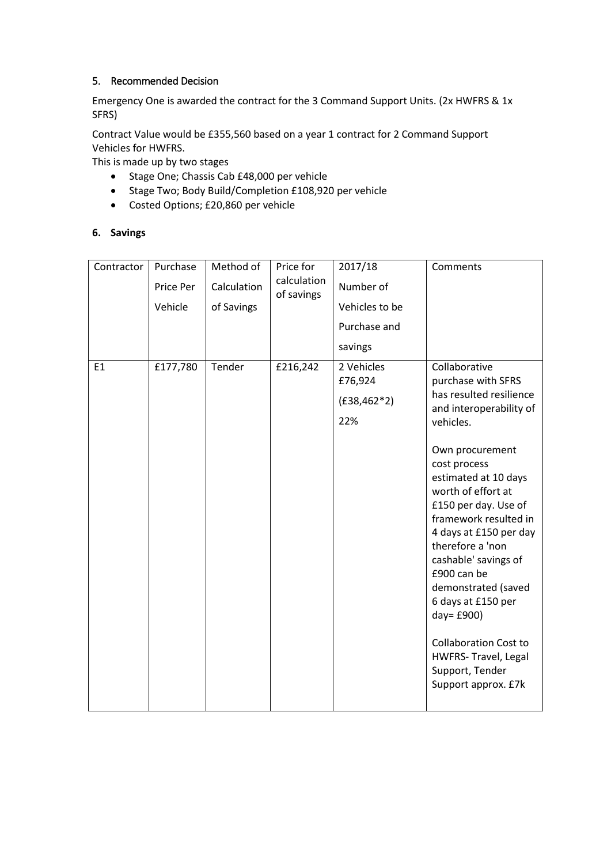# 5. Recommended Decision

Emergency One is awarded the contract for the 3 Command Support Units. (2x HWFRS & 1x SFRS)

Contract Value would be £355,560 based on a year 1 contract for 2 Command Support Vehicles for HWFRS.

This is made up by two stages

- Stage One; Chassis Cab £48,000 per vehicle
- Stage Two; Body Build/Completion £108,920 per vehicle
- Costed Options; £20,860 per vehicle

# **6. Savings**

| Contractor | Purchase<br>Price Per<br>Vehicle | Method of<br>Calculation<br>of Savings | Price for<br>calculation<br>of savings | 2017/18<br>Number of<br>Vehicles to be<br>Purchase and<br>savings | Comments                                                                                                                                                                                                                                                                                                                                                                                                                                                                                   |
|------------|----------------------------------|----------------------------------------|----------------------------------------|-------------------------------------------------------------------|--------------------------------------------------------------------------------------------------------------------------------------------------------------------------------------------------------------------------------------------------------------------------------------------------------------------------------------------------------------------------------------------------------------------------------------------------------------------------------------------|
| E1         | £177,780                         | Tender                                 | £216,242                               | 2 Vehicles<br>£76,924<br>$(E38, 462*2)$<br>22%                    | Collaborative<br>purchase with SFRS<br>has resulted resilience<br>and interoperability of<br>vehicles.<br>Own procurement<br>cost process<br>estimated at 10 days<br>worth of effort at<br>£150 per day. Use of<br>framework resulted in<br>4 days at £150 per day<br>therefore a 'non<br>cashable' savings of<br>£900 can be<br>demonstrated (saved<br>6 days at £150 per<br>day= £900)<br><b>Collaboration Cost to</b><br>HWFRS- Travel, Legal<br>Support, Tender<br>Support approx. £7k |